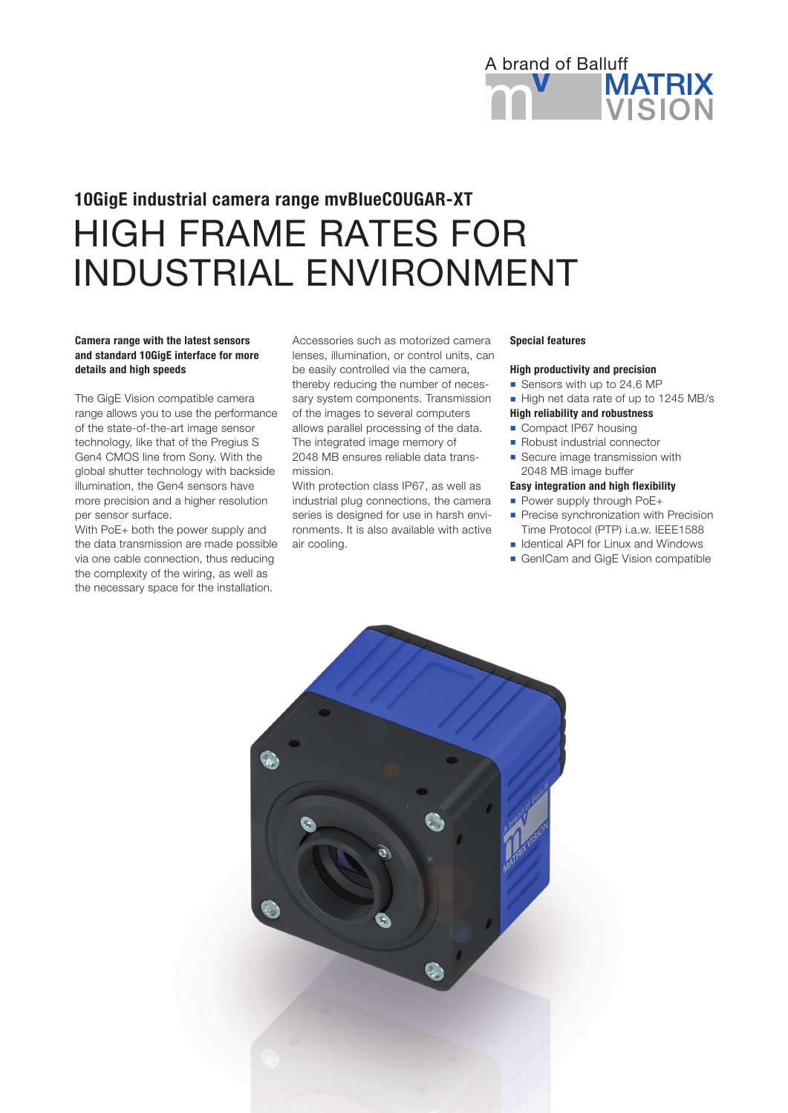

# HIGH FRAME RATES FOR INDUSTRIAL ENVIRONMENT 10GigE industrial camera range mvBlueCOUGAR-XT

## Camera range with the latest sensors and standard 10GigE interface for more details and high speeds

The GigE Vision compatible camera range allows you to use the performance of the state-of-the-art image sensor technology, like that of the Pregius S Gen4 CMOS line from Sony. With the global shutter technology with backside illumination, the Gen4 sensors have more precision and a higher resolution per sensor surface.

With PoE+ both the power supply and the data transmission are made possible via one cable connection, thus reducing the complexity of the wiring, as well as the necessary space for the installation.

Accessories such as motorized camera lenses, illumination, or control units, can be easily controlled via the camera, thereby reducing the number of necessary system components. Transmission of the images to several computers allows parallel processing of the data. The integrated image memory of 2048 MB ensures reliable data transmission.

With protection class IP67, as well as industrial plug connections, the camera series is designed for use in harsh environments. It is also available with active air cooling.

#### Special features

### High productivity and precision

- Sensors with up to 24.6 MP
- High net data rate of up to 1245 MB/s
- High reliability and robustness
- Compact IP67 housing
- **n** Robust industrial connector
- Secure image transmission with
- 2048 MB image buffer
- Easy integration and high flexibility
- Power supply through PoE+
- **Precise synchronization with Precision** Time Protocol (PTP) i.a.w. IEEE1588
- Identical API for Linux and Windows
- GenICam and GigE Vision compatible